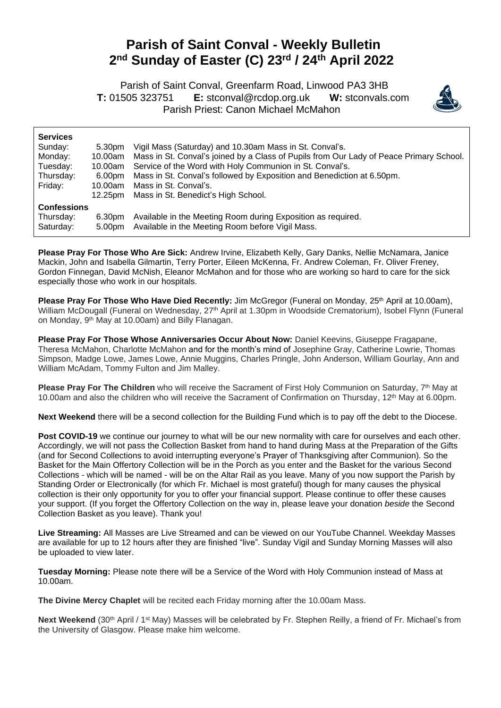## **Parish of Saint Conval - Weekly Bulletin 2 nd Sunday of Easter (C) 23rd / 24th April 2022**

 Parish of Saint Conval, Greenfarm Road, Linwood PA3 3HB **T:** 01505 323751 **E:** [stconval@rcdop.org.uk](mailto:stconval@rcdop.org.uk) **W:** stconvals.com Parish Priest: Canon Michael McMahon



| <b>Services</b>    |         |                                                                                         |
|--------------------|---------|-----------------------------------------------------------------------------------------|
| Sunday:            | 5.30pm  | Vigil Mass (Saturday) and 10.30am Mass in St. Conval's.                                 |
| Monday:            | 10.00am | Mass in St. Conval's joined by a Class of Pupils from Our Lady of Peace Primary School. |
| Tuesday:           | 10.00am | Service of the Word with Holy Communion in St. Conval's.                                |
| Thursday:          | 6.00pm  | Mass in St. Conval's followed by Exposition and Benediction at 6.50pm.                  |
| Friday:            | 10.00am | Mass in St. Conval's.                                                                   |
|                    | 12.25pm | Mass in St. Benedict's High School.                                                     |
| <b>Confessions</b> |         |                                                                                         |
| Thursday:          | 6.30pm  | Available in the Meeting Room during Exposition as required.                            |
| Saturday:          | 5.00pm  | Available in the Meeting Room before Vigil Mass.                                        |
|                    |         |                                                                                         |

**Please Pray For Those Who Are Sick:** Andrew Irvine, Elizabeth Kelly, Gary Danks, Nellie McNamara, Janice Mackin, John and Isabella Gilmartin, Terry Porter, Eileen McKenna, Fr. Andrew Coleman, Fr. Oliver Freney, Gordon Finnegan, David McNish, Eleanor McMahon and for those who are working so hard to care for the sick especially those who work in our hospitals.

Please Pray For Those Who Have Died Recently: Jim McGregor (Funeral on Monday, 25<sup>th</sup> April at 10.00am), William McDougall (Funeral on Wednesday, 27<sup>th</sup> April at 1.30pm in Woodside Crematorium), Isobel Flynn (Funeral on Monday, 9<sup>th</sup> May at 10.00am) and Billy Flanagan.

**Please Pray For Those Whose Anniversaries Occur About Now:** Daniel Keevins, Giuseppe Fragapane, Theresa McMahon, Charlotte McMahon and for the month's mind of Josephine Gray, Catherine Lowrie, Thomas Simpson, Madge Lowe, James Lowe, Annie Muggins, Charles Pringle, John Anderson, William Gourlay, Ann and William McAdam, Tommy Fulton and Jim Malley.

Please Pray For The Children who will receive the Sacrament of First Holy Communion on Saturday, 7<sup>th</sup> May at 10.00am and also the children who will receive the Sacrament of Confirmation on Thursday, 12<sup>th</sup> May at 6.00pm.

**Next Weekend** there will be a second collection for the Building Fund which is to pay off the debt to the Diocese.

**Post COVID-19** we continue our journey to what will be our new normality with care for ourselves and each other. Accordingly, we will not pass the Collection Basket from hand to hand during Mass at the Preparation of the Gifts (and for Second Collections to avoid interrupting everyone's Prayer of Thanksgiving after Communion). So the Basket for the Main Offertory Collection will be in the Porch as you enter and the Basket for the various Second Collections - which will be named - will be on the Altar Rail as you leave. Many of you now support the Parish by Standing Order or Electronically (for which Fr. Michael is most grateful) though for many causes the physical collection is their only opportunity for you to offer your financial support. Please continue to offer these causes your support. (If you forget the Offertory Collection on the way in, please leave your donation *beside* the Second Collection Basket as you leave). Thank you!

**Live Streaming:** All Masses are Live Streamed and can be viewed on our YouTube Channel. Weekday Masses are available for up to 12 hours after they are finished "live". Sunday Vigil and Sunday Morning Masses will also be uploaded to view later.

**Tuesday Morning:** Please note there will be a Service of the Word with Holy Communion instead of Mass at 10.00am.

**The Divine Mercy Chaplet** will be recited each Friday morning after the 10.00am Mass.

Next Weekend (30<sup>th</sup> April / 1<sup>st</sup> May) Masses will be celebrated by Fr. Stephen Reilly, a friend of Fr. Michael's from the University of Glasgow. Please make him welcome.